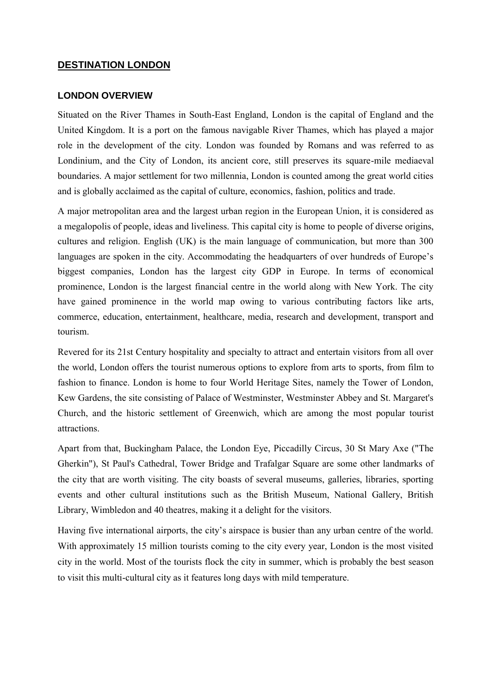## **DESTINATION LONDON**

#### **LONDON OVERVIEW**

Situated on the River Thames in South-East England, London is the capital of England and the United Kingdom. It is a port on the famous navigable River Thames, which has played a major role in the development of the city. London was founded by Romans and was referred to as Londinium, and the City of London, its ancient core, still preserves its square-mile mediaeval boundaries. A major settlement for two millennia, London is counted among the great world cities and is globally acclaimed as the capital of culture, economics, fashion, politics and trade.

A major metropolitan area and the largest urban region in the European Union, it is considered as a megalopolis of people, ideas and liveliness. This capital city is home to people of diverse origins, cultures and religion. English (UK) is the main language of communication, but more than 300 languages are spoken in the city. Accommodating the headquarters of over hundreds of Europe's biggest companies, London has the largest city GDP in Europe. In terms of economical prominence, London is the largest financial centre in the world along with New York. The city have gained prominence in the world map owing to various contributing factors like arts, commerce, education, entertainment, healthcare, media, research and development, transport and tourism.

Revered for its 21st Century hospitality and specialty to attract and entertain visitors from all over the world, London offers the tourist numerous options to explore from arts to sports, from film to fashion to finance. London is home to four World Heritage Sites, namely the Tower of London, Kew Gardens, the site consisting of Palace of Westminster, Westminster Abbey and St. Margaret's Church, and the historic settlement of Greenwich, which are among the most popular tourist attractions.

Apart from that, Buckingham Palace, the London Eye, Piccadilly Circus, 30 St Mary Axe ("The Gherkin"), St Paul's Cathedral, Tower Bridge and Trafalgar Square are some other landmarks of the city that are worth visiting. The city boasts of several museums, galleries, libraries, sporting events and other cultural institutions such as the British Museum, National Gallery, British Library, Wimbledon and 40 theatres, making it a delight for the visitors.

Having five international airports, the city"s airspace is busier than any urban centre of the world. With approximately 15 million tourists coming to the city every year, London is the most visited city in the world. Most of the tourists flock the city in summer, which is probably the best season to visit this multi-cultural city as it features long days with mild temperature.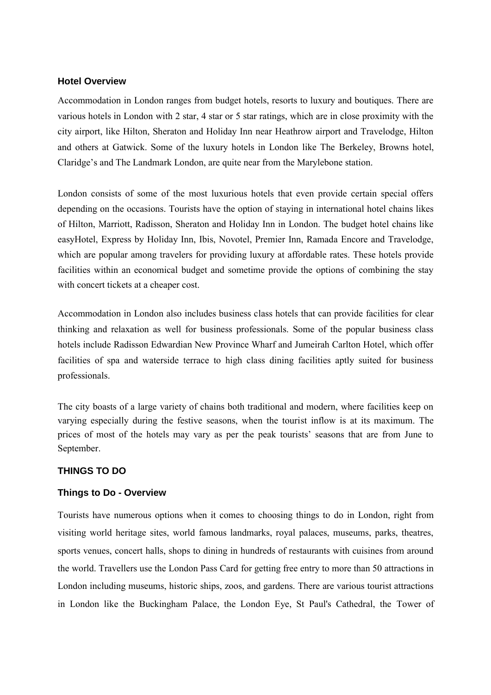#### **Hotel Overview**

Accommodation in London ranges from budget hotels, resorts to luxury and boutiques. There are various hotels in London with 2 star, 4 star or 5 star ratings, which are in close proximity with the city airport, like Hilton, Sheraton and Holiday Inn near Heathrow airport and Travelodge, Hilton and others at Gatwick. Some of the luxury hotels in London like The Berkeley, Browns hotel, Claridge"s and The Landmark London, are quite near from the Marylebone station.

London consists of some of the most luxurious hotels that even provide certain special offers depending on the occasions. Tourists have the option of staying in international hotel chains likes of Hilton, Marriott, Radisson, Sheraton and Holiday Inn in London. The budget hotel chains like easyHotel, Express by Holiday Inn, Ibis, Novotel, Premier Inn, Ramada Encore and Travelodge, which are popular among travelers for providing luxury at affordable rates. These hotels provide facilities within an economical budget and sometime provide the options of combining the stay with concert tickets at a cheaper cost.

Accommodation in London also includes business class hotels that can provide facilities for clear thinking and relaxation as well for business professionals. Some of the popular business class hotels include Radisson Edwardian New Province Wharf and Jumeirah Carlton Hotel, which offer facilities of spa and waterside terrace to high class dining facilities aptly suited for business professionals.

The city boasts of a large variety of chains both traditional and modern, where facilities keep on varying especially during the festive seasons, when the tourist inflow is at its maximum. The prices of most of the hotels may vary as per the peak tourists" seasons that are from June to September.

## **THINGS TO DO**

#### **Things to Do - Overview**

Tourists have numerous options when it comes to choosing things to do in London, right from visiting world heritage sites, world famous landmarks, royal palaces, museums, parks, theatres, sports venues, concert halls, shops to dining in hundreds of restaurants with cuisines from around the world. Travellers use the London Pass Card for getting free entry to more than 50 attractions in London including museums, historic ships, zoos, and gardens. There are various tourist attractions in London like the Buckingham Palace, the London Eye, St Paul's Cathedral, the Tower of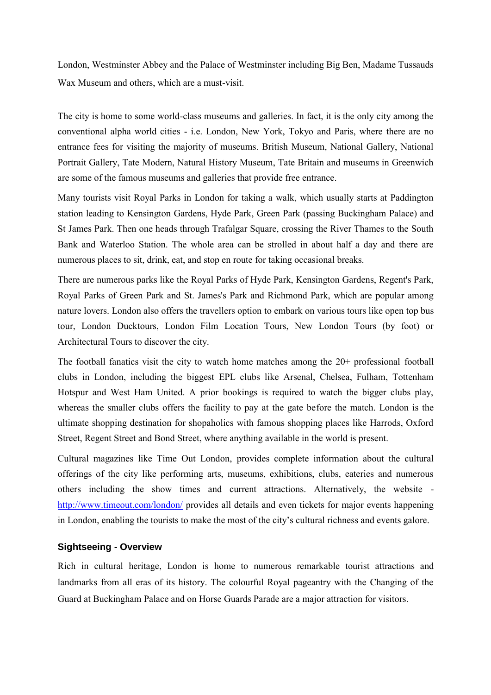London, Westminster Abbey and the Palace of Westminster including Big Ben, Madame Tussauds Wax Museum and others, which are a must-visit.

The city is home to some world-class museums and galleries. In fact, it is the only city among the conventional alpha world cities - i.e. London, New York, Tokyo and Paris, where there are no entrance fees for visiting the majority of museums. British Museum, National Gallery, National Portrait Gallery, Tate Modern, Natural History Museum, Tate Britain and museums in Greenwich are some of the famous museums and galleries that provide free entrance.

Many tourists visit Royal Parks in London for taking a walk, which usually starts at Paddington station leading to Kensington Gardens, Hyde Park, Green Park (passing Buckingham Palace) and St James Park. Then one heads through Trafalgar Square, crossing the River Thames to the South Bank and Waterloo Station. The whole area can be strolled in about half a day and there are numerous places to sit, drink, eat, and stop en route for taking occasional breaks.

There are numerous parks like the Royal Parks of Hyde Park, Kensington Gardens, Regent's Park, Royal Parks of Green Park and St. James's Park and Richmond Park, which are popular among nature lovers. London also offers the travellers option to embark on various tours like open top bus tour, London Ducktours, London Film Location Tours, New London Tours (by foot) or Architectural Tours to discover the city.

The football fanatics visit the city to watch home matches among the 20+ professional football clubs in London, including the biggest EPL clubs like Arsenal, Chelsea, Fulham, Tottenham Hotspur and West Ham United. A prior bookings is required to watch the bigger clubs play, whereas the smaller clubs offers the facility to pay at the gate before the match. London is the ultimate shopping destination for shopaholics with famous shopping places like Harrods, Oxford Street, Regent Street and Bond Street, where anything available in the world is present.

Cultural magazines like Time Out London, provides complete information about the cultural offerings of the city like performing arts, museums, exhibitions, clubs, eateries and numerous others including the show times and current attractions. Alternatively, the website http://www.timeout.com/london/ provides all details and even tickets for major events happening in London, enabling the tourists to make the most of the city"s cultural richness and events galore.

## **Sightseeing - Overview**

Rich in cultural heritage, London is home to numerous remarkable tourist attractions and landmarks from all eras of its history. The colourful Royal pageantry with the Changing of the Guard at Buckingham Palace and on Horse Guards Parade are a major attraction for visitors.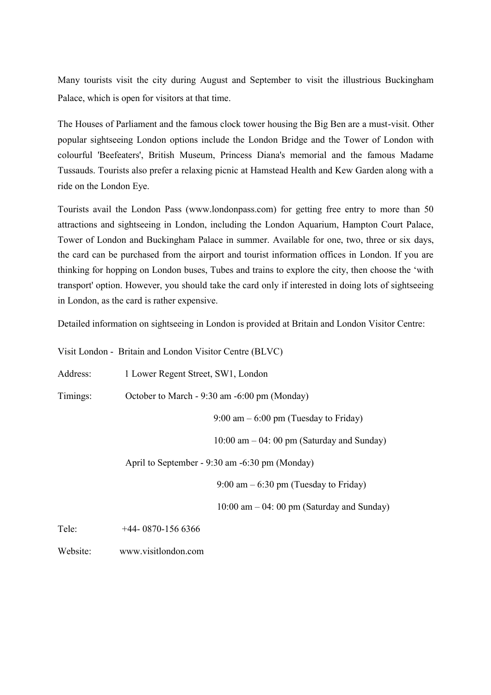Many tourists visit the city during August and September to visit the illustrious Buckingham Palace, which is open for visitors at that time.

The Houses of Parliament and the famous clock tower housing the Big Ben are a must-visit. Other popular sightseeing London options include the London Bridge and the Tower of London with colourful 'Beefeaters', British Museum, Princess Diana's memorial and the famous Madame Tussauds. Tourists also prefer a relaxing picnic at Hamstead Health and Kew Garden along with a ride on the London Eye.

Tourists avail the London Pass (www.londonpass.com) for getting free entry to more than 50 attractions and sightseeing in London, including the London Aquarium, Hampton Court Palace, Tower of London and Buckingham Palace in summer. Available for one, two, three or six days, the card can be purchased from the airport and tourist information offices in London. If you are thinking for hopping on London buses, Tubes and trains to explore the city, then choose the "with transport' option. However, you should take the card only if interested in doing lots of sightseeing in London, as the card is rather expensive.

Detailed information on sightseeing in London is provided at Britain and London Visitor Centre:

| Visit London - Britain and London Visitor Centre (BLVC) |                                              |                                                         |  |  |
|---------------------------------------------------------|----------------------------------------------|---------------------------------------------------------|--|--|
| Address:                                                | 1 Lower Regent Street, SW1, London           |                                                         |  |  |
| Timings:                                                | October to March - 9:30 am -6:00 pm (Monday) |                                                         |  |  |
|                                                         |                                              | $9:00 \text{ am} - 6:00 \text{ pm}$ (Tuesday to Friday) |  |  |
|                                                         |                                              | $10:00$ am $-04:00$ pm (Saturday and Sunday)            |  |  |
| April to September - 9:30 am -6:30 pm (Monday)          |                                              |                                                         |  |  |
|                                                         |                                              | $9:00$ am $-6:30$ pm (Tuesday to Friday)                |  |  |
|                                                         |                                              | $10:00$ am $-04:00$ pm (Saturday and Sunday)            |  |  |
| Tele:                                                   | $+44 - 0870 - 1566$                          |                                                         |  |  |
|                                                         |                                              |                                                         |  |  |

Website: www.visitlondon.com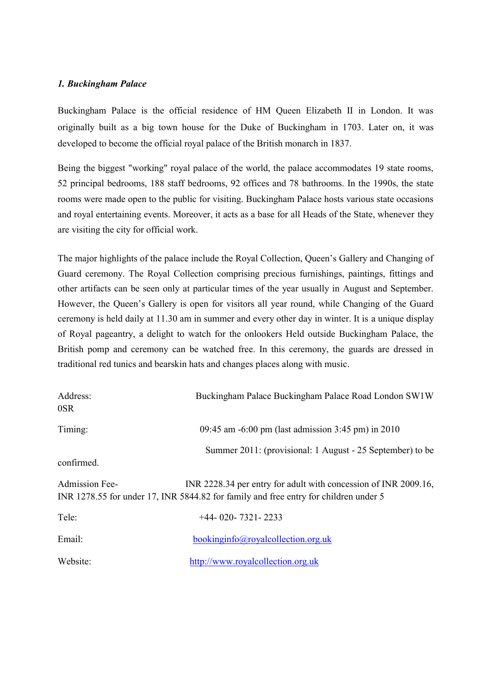## *1. Buckingham Palace*

Buckingham Palace is the official residence of HM Queen Elizabeth II in London. It was originally built as a big town house for the Duke of Buckingham in 1703. Later on, it was developed to become the official royal palace of the British monarch in 1837.

Being the biggest "working" royal palace of the world, the palace accommodates 19 state rooms, 52 principal bedrooms, 188 staff bedrooms, 92 offices and 78 bathrooms. In the 1990s, the state rooms were made open to the public for visiting. Buckingham Palace hosts various state occasions and royal entertaining events. Moreover, it acts as a base for all Heads of the State, whenever they are visiting the city for official work.

The major highlights of the palace include the Royal Collection, Queen"s Gallery and Changing of Guard ceremony. The Royal Collection comprising precious furnishings, paintings, fittings and other artifacts can be seen only at particular times of the year usually in August and September. However, the Queen"s Gallery is open for visitors all year round, while Changing of the Guard ceremony is held daily at 11.30 am in summer and every other day in winter. It is a unique display of Royal pageantry, a delight to watch for the onlookers Held outside Buckingham Palace, the British pomp and ceremony can be watched free. In this ceremony, the guards are dressed in traditional red tunics and bearskin hats and changes places along with music.

| Address:<br>0SR                                                                                                                                                                  | Buckingham Palace Buckingham Palace Road London SW1W      |  |
|----------------------------------------------------------------------------------------------------------------------------------------------------------------------------------|-----------------------------------------------------------|--|
| Timing:                                                                                                                                                                          | 09:45 am -6:00 pm (last admission 3:45 pm) in 2010        |  |
| confirmed.                                                                                                                                                                       | Summer 2011: (provisional: 1 August - 25 September) to be |  |
| <b>Admission Fee-</b><br>INR 2228.34 per entry for adult with concession of INR 2009.16,<br>INR 1278.55 for under 17, INR 5844.82 for family and free entry for children under 5 |                                                           |  |
| Tele:                                                                                                                                                                            | $+44 - 020 - 7321 - 2233$                                 |  |
| Email:                                                                                                                                                                           | bookinginfo@royal collection.org.uk                       |  |
| Website:                                                                                                                                                                         | http://www.royalcollection.org.uk                         |  |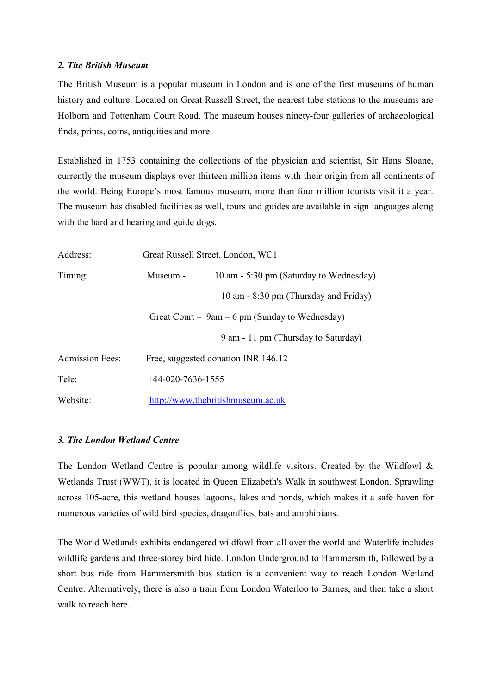#### *2. The British Museum*

The British Museum is a popular museum in London and is one of the first museums of human history and culture. Located on Great Russell Street, the nearest tube stations to the museums are Holborn and Tottenham Court Road. The museum houses ninety-four galleries of archaeological finds, prints, coins, antiquities and more.

Established in 1753 containing the collections of the physician and scientist, Sir Hans Sloane, currently the museum displays over thirteen million items with their origin from all continents of the world. Being Europe's most famous museum, more than four million tourists visit it a year. The museum has disabled facilities as well, tours and guides are available in sign languages along with the hard and hearing and guide dogs.

| Address:                                         | Great Russell Street, London, WC1   |                                         |  |
|--------------------------------------------------|-------------------------------------|-----------------------------------------|--|
| Timing:                                          | Museum -                            | 10 am - 5:30 pm (Saturday to Wednesday) |  |
|                                                  |                                     | 10 am - 8:30 pm (Thursday and Friday)   |  |
| Great Court – $9am - 6$ pm (Sunday to Wednesday) |                                     |                                         |  |
|                                                  |                                     | 9 am - 11 pm (Thursday to Saturday)     |  |
| <b>Admission Fees:</b>                           | Free, suggested donation INR 146.12 |                                         |  |
| Tele:                                            | $+44-020-7636-1555$                 |                                         |  |
| Website:                                         | http://www.thebritishmuseum.ac.uk   |                                         |  |

## *3. The London Wetland Centre*

The London Wetland Centre is popular among wildlife visitors. Created by the Wildfowl  $\&$ Wetlands Trust (WWT), it is located in Queen Elizabeth's Walk in southwest London. Sprawling across 105-acre, this wetland houses lagoons, lakes and ponds, which makes it a safe haven for numerous varieties of wild bird species, dragonflies, bats and amphibians.

The World Wetlands exhibits endangered wildfowl from all over the world and Waterlife includes wildlife gardens and three-storey bird hide. London Underground to Hammersmith, followed by a short bus ride from Hammersmith bus station is a convenient way to reach London Wetland Centre. Alternatively, there is also a train from London Waterloo to Barnes, and then take a short walk to reach here.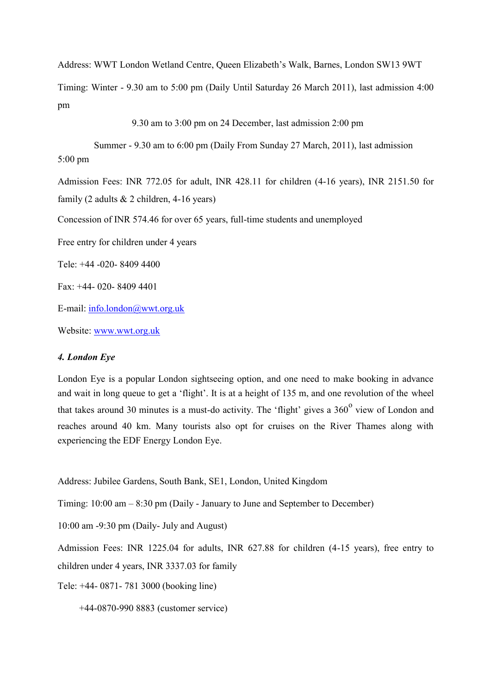Address: WWT London Wetland Centre, Queen Elizabeth"s Walk, Barnes, London SW13 9WT

Timing: Winter - 9.30 am to 5:00 pm (Daily Until Saturday 26 March 2011), last admission 4:00 pm

9.30 am to 3:00 pm on 24 December, last admission 2:00 pm

Summer - 9.30 am to 6:00 pm (Daily From Sunday 27 March, 2011), last admission 5:00 pm Admission Fees: INR 772.05 for adult, INR 428.11 for children (4-16 years), INR 2151.50 for family (2 adults & 2 children, 4-16 years) Concession of INR 574.46 for over 65 years, full-time students and unemployed Free entry for children under 4 years Tele: +44 -020- 8409 4400 Fax: +44- 020- 8409 4401 E-mail: info.london@wwt.org.uk Website: www.wwt.org.uk

## *4. London Eye*

London Eye is a popular London sightseeing option, and one need to make booking in advance and wait in long queue to get a "flight". It is at a height of 135 m, and one revolution of the wheel that takes around 30 minutes is a must-do activity. The 'flight' gives a  $360^{\circ}$  view of London and reaches around 40 km. Many tourists also opt for cruises on the River Thames along with experiencing the EDF Energy London Eye.

Address: Jubilee Gardens, South Bank, SE1, London, United Kingdom

Timing: 10:00 am – 8:30 pm (Daily - January to June and September to December)

10:00 am -9:30 pm (Daily- July and August)

Admission Fees: INR 1225.04 for adults, INR 627.88 for children (4-15 years), free entry to children under 4 years, INR 3337.03 for family

Tele: +44- 0871- 781 3000 (booking line)

+44-0870-990 8883 (customer service)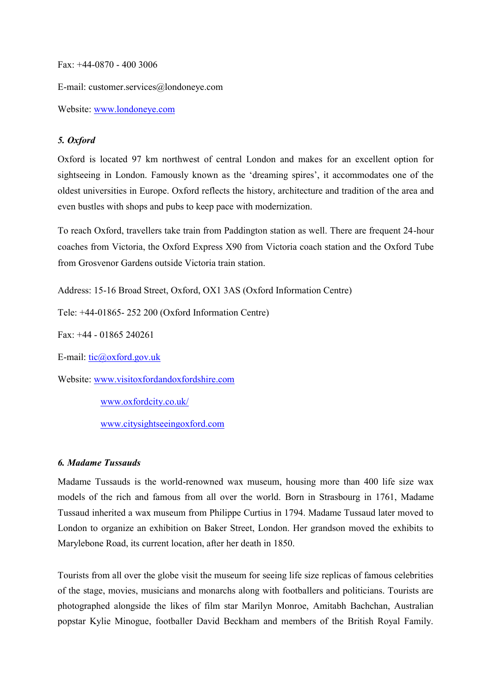Fax: +44-0870 - 400 3006

E-mail: customer.services@londoneye.com

Website: www.londoneye.com

# *5. Oxford*

Oxford is located 97 km northwest of central London and makes for an excellent option for sightseeing in London. Famously known as the 'dreaming spires', it accommodates one of the oldest universities in Europe. Oxford reflects the history, architecture and tradition of the area and even bustles with shops and pubs to keep pace with modernization.

To reach Oxford, travellers take train from Paddington station as well. There are frequent 24-hour coaches from Victoria, the Oxford Express X90 from Victoria coach station and the Oxford Tube from Grosvenor Gardens outside Victoria train station.

Address: 15-16 Broad Street, Oxford, OX1 3AS (Oxford Information Centre)

Tele: +44-01865- 252 200 (Oxford Information Centre)

Fax: +44 - 01865 240261

E-mail: tic@oxford.gov.uk

Website: www.visitoxfordandoxfordshire.com

www.oxfordcity.co.uk/

www.citysightseeingoxford.com

## *6. Madame Tussauds*

Madame Tussauds is the world-renowned wax museum, housing more than 400 life size wax models of the rich and famous from all over the world. Born in Strasbourg in 1761, Madame Tussaud inherited a wax museum from Philippe Curtius in 1794. Madame Tussaud later moved to London to organize an exhibition on Baker Street, London. Her grandson moved the exhibits to Marylebone Road, its current location, after her death in 1850.

Tourists from all over the globe visit the museum for seeing life size replicas of famous celebrities of the stage, movies, musicians and monarchs along with footballers and politicians. Tourists are photographed alongside the likes of film star Marilyn Monroe, Amitabh Bachchan, Australian popstar Kylie Minogue, footballer David Beckham and members of the British Royal Family.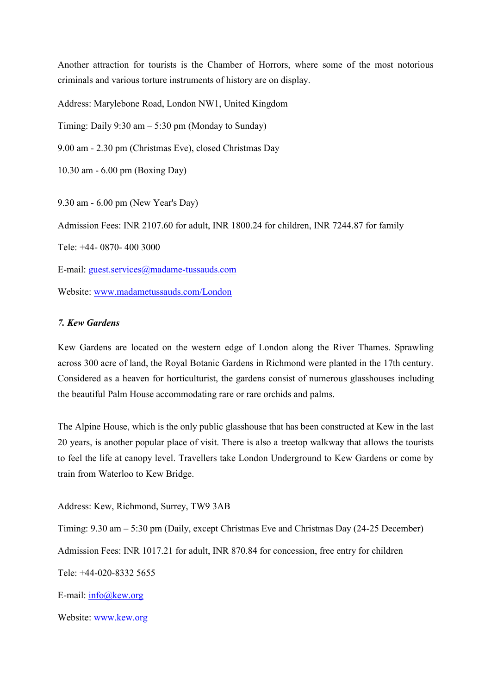Another attraction for tourists is the Chamber of Horrors, where some of the most notorious criminals and various torture instruments of history are on display.

Address: Marylebone Road, London NW1, United Kingdom

Timing: Daily  $9:30 \text{ am} - 5:30 \text{ pm}$  (Monday to Sunday)

9.00 am - 2.30 pm (Christmas Eve), closed Christmas Day

10.30 am - 6.00 pm (Boxing Day)

9.30 am - 6.00 pm (New Year's Day)

Admission Fees: INR 2107.60 for adult, INR 1800.24 for children, INR 7244.87 for family

Tele: +44- 0870- 400 3000

E-mail: guest.services@madame-tussauds.com

Website: www.madametussauds.com/London

# *7. Kew Gardens*

Kew Gardens are located on the western edge of London along the River Thames. Sprawling across 300 acre of land, the Royal Botanic Gardens in Richmond were planted in the 17th century. Considered as a heaven for horticulturist, the gardens consist of numerous glasshouses including the beautiful Palm House accommodating rare or rare orchids and palms.

The Alpine House, which is the only public glasshouse that has been constructed at Kew in the last 20 years, is another popular place of visit. There is also a treetop walkway that allows the tourists to feel the life at canopy level. Travellers take London Underground to Kew Gardens or come by train from Waterloo to Kew Bridge.

Address: Kew, Richmond, Surrey, TW9 3AB

Timing: 9.30 am – 5:30 pm (Daily, except Christmas Eve and Christmas Day (24-25 December) Admission Fees: INR 1017.21 for adult, INR 870.84 for concession, free entry for children Tele: +44-020-8332 5655

E-mail: info@kew.org

Website: www.kew.org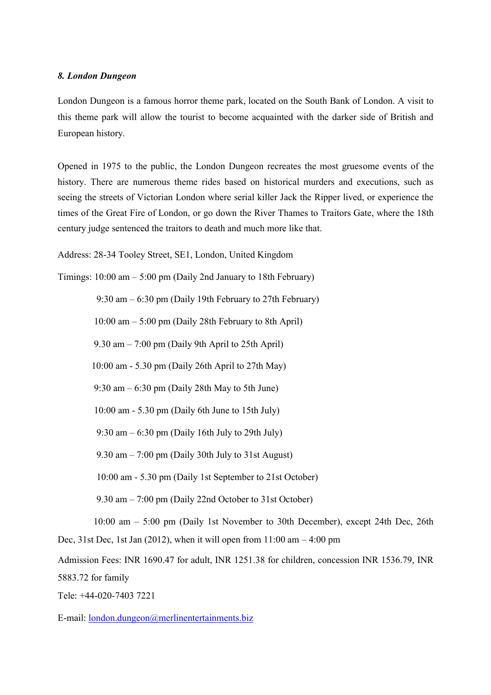#### *8. London Dungeon*

London Dungeon is a famous horror theme park, located on the South Bank of London. A visit to this theme park will allow the tourist to become acquainted with the darker side of British and European history.

Opened in 1975 to the public, the London Dungeon recreates the most gruesome events of the history. There are numerous theme rides based on historical murders and executions, such as seeing the streets of Victorian London where serial killer Jack the Ripper lived, or experience the times of the Great Fire of London, or go down the River Thames to Traitors Gate, where the 18th century judge sentenced the traitors to death and much more like that.

Address: 28-34 Tooley Street, SE1, London, United Kingdom

Timings: 10:00 am – 5:00 pm (Daily 2nd January to 18th February)

9:30 am – 6:30 pm (Daily 19th February to 27th February)

10:00 am – 5:00 pm (Daily 28th February to 8th April)

9.30 am – 7:00 pm (Daily 9th April to 25th April)

10:00 am - 5.30 pm (Daily 26th April to 27th May)

9:30 am – 6:30 pm (Daily 28th May to 5th June)

10:00 am - 5.30 pm (Daily 6th June to 15th July)

9:30 am – 6:30 pm (Daily 16th July to 29th July)

9.30 am  $-7:00$  pm (Daily 30th July to 31st August)

10:00 am - 5.30 pm (Daily 1st September to 21st October)

9.30 am – 7:00 pm (Daily 22nd October to 31st October)

10:00 am – 5:00 pm (Daily 1st November to 30th December), except 24th Dec, 26th Dec, 31st Dec, 1st Jan (2012), when it will open from  $11:00$  am  $-4:00$  pm

Admission Fees: INR 1690.47 for adult, INR 1251.38 for children, concession INR 1536.79, INR 5883.72 for family

Tele: +44-020-7403 7221

E-mail: london.dungeon@merlinentertainments.biz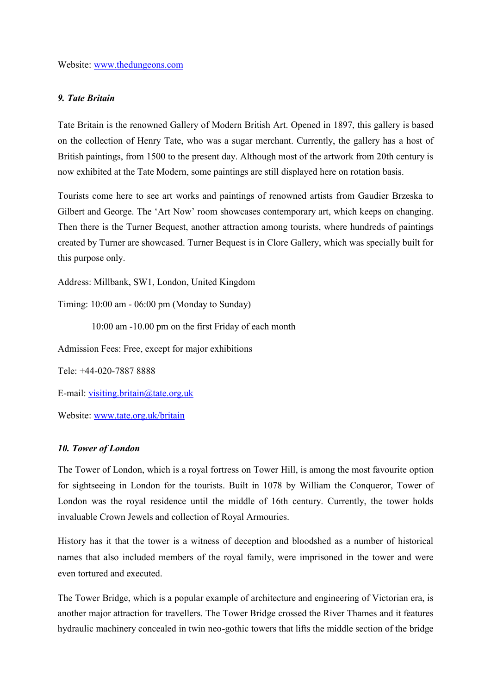Website: www.thedungeons.com

#### *9. Tate Britain*

Tate Britain is the renowned Gallery of Modern British Art. Opened in 1897, this gallery is based on the collection of Henry Tate, who was a sugar merchant. Currently, the gallery has a host of British paintings, from 1500 to the present day. Although most of the artwork from 20th century is now exhibited at the Tate Modern, some paintings are still displayed here on rotation basis.

Tourists come here to see art works and paintings of renowned artists from Gaudier Brzeska to Gilbert and George. The 'Art Now' room showcases contemporary art, which keeps on changing. Then there is the Turner Bequest, another attraction among tourists, where hundreds of paintings created by Turner are showcased. Turner Bequest is in Clore Gallery, which was specially built for this purpose only.

Address: Millbank, SW1, London, United Kingdom

Timing: 10:00 am - 06:00 pm (Monday to Sunday)

10:00 am -10.00 pm on the first Friday of each month

Admission Fees: Free, except for major exhibitions

Tele: +44-020-7887 8888

E-mail: visiting.britain@tate.org.uk

Website: www.tate.org.uk/britain

#### *10. Tower of London*

The Tower of London, which is a royal fortress on Tower Hill, is among the most favourite option for sightseeing in London for the tourists. Built in 1078 by William the Conqueror, Tower of London was the royal residence until the middle of 16th century. Currently, the tower holds invaluable Crown Jewels and collection of Royal Armouries.

History has it that the tower is a witness of deception and bloodshed as a number of historical names that also included members of the royal family, were imprisoned in the tower and were even tortured and executed.

The Tower Bridge, which is a popular example of architecture and engineering of Victorian era, is another major attraction for travellers. The Tower Bridge crossed the River Thames and it features hydraulic machinery concealed in twin neo-gothic towers that lifts the middle section of the bridge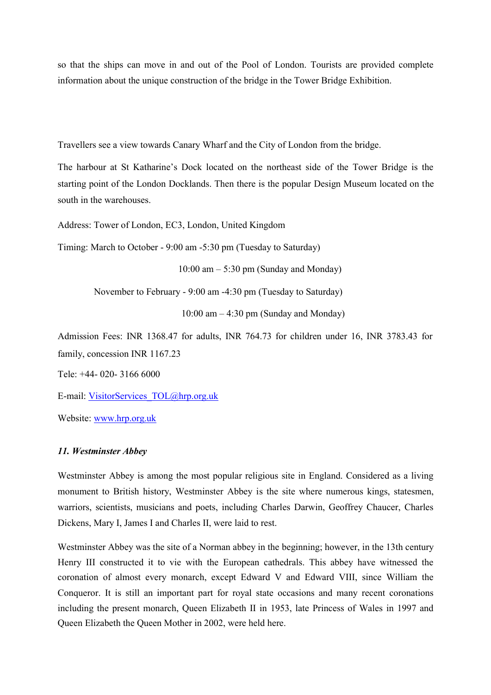so that the ships can move in and out of the Pool of London. Tourists are provided complete information about the unique construction of the bridge in the Tower Bridge Exhibition.

Travellers see a view towards Canary Wharf and the City of London from the bridge.

The harbour at St Katharine"s Dock located on the northeast side of the Tower Bridge is the starting point of the London Docklands. Then there is the popular Design Museum located on the south in the warehouses.

Address: Tower of London, EC3, London, United Kingdom

Timing: March to October - 9:00 am -5:30 pm (Tuesday to Saturday)

 $10:00$  am  $-5:30$  pm (Sunday and Monday)

November to February - 9:00 am -4:30 pm (Tuesday to Saturday)

10:00 am  $-$  4:30 pm (Sunday and Monday)

Admission Fees: INR 1368.47 for adults, INR 764.73 for children under 16, INR 3783.43 for family, concession INR 1167.23

Tele: +44- 020- 3166 6000

E-mail: [VisitorServices\\_TOL@hrp.org.uk](mailto:VisitorServices_TOL@hrp.org.uk)

Website: [www.hrp.org.uk](http://www.hrp.org.uk/)

#### *11. Westminster Abbey*

Westminster Abbey is among the most popular religious site in England. Considered as a living monument to British history, Westminster Abbey is the site where numerous kings, statesmen, warriors, scientists, musicians and poets, including Charles Darwin, Geoffrey Chaucer, Charles Dickens, Mary I, James I and Charles II, were laid to rest.

Westminster Abbey was the site of a Norman abbey in the beginning; however, in the 13th century Henry III constructed it to vie with the European cathedrals. This abbey have witnessed the coronation of almost every monarch, except Edward V and Edward VIII, since William the Conqueror. It is still an important part for royal state occasions and many recent coronations including the present monarch, Queen Elizabeth II in 1953, late Princess of Wales in 1997 and Queen Elizabeth the Queen Mother in 2002, were held here.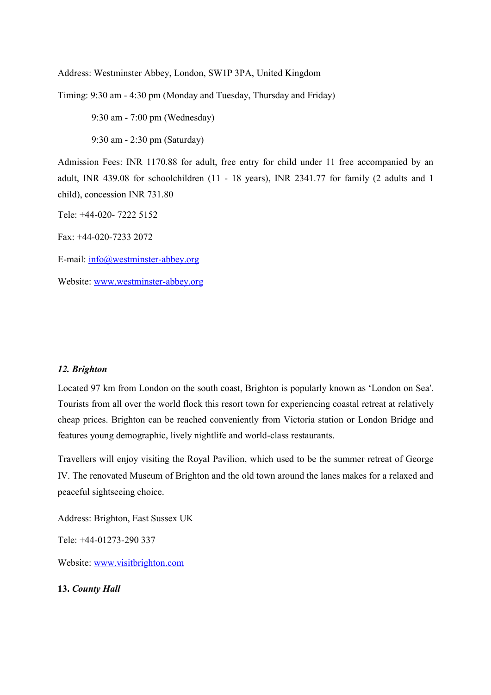Address: Westminster Abbey, London, SW1P 3PA, United Kingdom

Timing: 9:30 am - 4:30 pm (Monday and Tuesday, Thursday and Friday)

9:30 am - 7:00 pm (Wednesday)

9:30 am - 2:30 pm (Saturday)

Admission Fees: INR 1170.88 for adult, free entry for child under 11 free accompanied by an adult, INR 439.08 for schoolchildren (11 - 18 years), INR 2341.77 for family (2 adults and 1 child), concession INR 731.80

Tele: +44-020- 7222 5152

Fax: +44-020-7233 2072

E-mail: [info@westminster-abbey.org](mailto:info@westminster-abbey.org)

Website: [www.westminster-abbey.org](http://www.westminster-abbey.org/)

### *12. Brighton*

Located 97 km from London on the south coast, Brighton is popularly known as "London on Sea'. Tourists from all over the world flock this resort town for experiencing coastal retreat at relatively cheap prices. Brighton can be reached conveniently from Victoria station or London Bridge and features young demographic, lively nightlife and world-class restaurants.

Travellers will enjoy visiting the Royal Pavilion, which used to be the summer retreat of George IV. The renovated Museum of Brighton and the old town around the lanes makes for a relaxed and peaceful sightseeing choice.

Address: Brighton, East Sussex UK

Tele: +44-01273-290 337

Website: www.visitbrighton.com

**13.** *County Hall*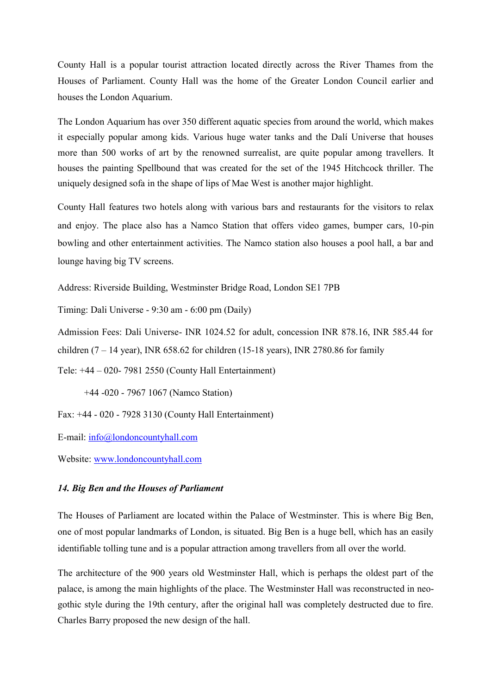County Hall is a popular tourist attraction located directly across the River Thames from the Houses of Parliament. County Hall was the home of the Greater London Council earlier and houses the London Aquarium.

The London Aquarium has over 350 different aquatic species from around the world, which makes it especially popular among kids. Various huge water tanks and the Dalí Universe that houses more than 500 works of art by the renowned surrealist, are quite popular among travellers. It houses the painting Spellbound that was created for the set of the 1945 Hitchcock thriller. The uniquely designed sofa in the shape of lips of Mae West is another major highlight.

County Hall features two hotels along with various bars and restaurants for the visitors to relax and enjoy. The place also has a Namco Station that offers video games, bumper cars, 10-pin bowling and other entertainment activities. The Namco station also houses a pool hall, a bar and lounge having big TV screens.

Address: Riverside Building, Westminster Bridge Road, London SE1 7PB

Timing: Dali Universe - 9:30 am - 6:00 pm (Daily)

Admission Fees: Dali Universe- INR 1024.52 for adult, concession INR 878.16, INR 585.44 for children  $(7 - 14 \text{ year})$ , INR 658.62 for children  $(15-18 \text{ years})$ , INR 2780.86 for family

Tele: +44 – 020- 7981 2550 (County Hall Entertainment)

+44 -020 - 7967 1067 (Namco Station)

Fax: +44 - 020 - 7928 3130 (County Hall Entertainment)

E-mail: info@londoncountyhall.com

Website: www.londoncountyhall.com

# *14. Big Ben and the Houses of Parliament*

The Houses of Parliament are located within the Palace of Westminster. This is where Big Ben, one of most popular landmarks of London, is situated. Big Ben is a huge bell, which has an easily identifiable tolling tune and is a popular attraction among travellers from all over the world.

The architecture of the 900 years old Westminster Hall, which is perhaps the oldest part of the palace, is among the main highlights of the place. The Westminster Hall was reconstructed in neogothic style during the 19th century, after the original hall was completely destructed due to fire. Charles Barry proposed the new design of the hall.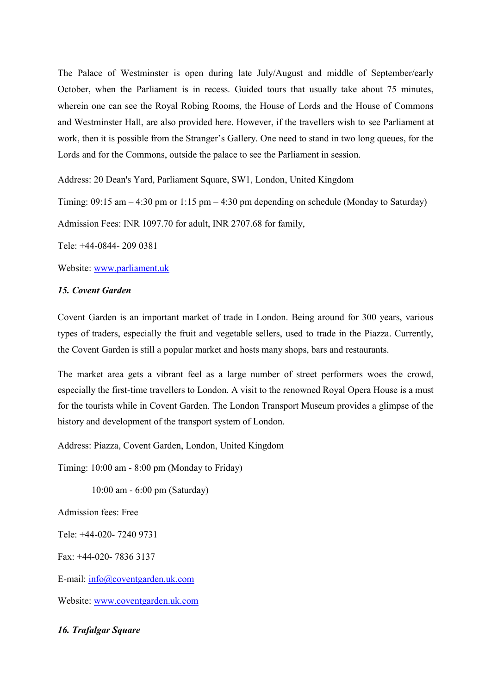The Palace of Westminster is open during late July/August and middle of September/early October, when the Parliament is in recess. Guided tours that usually take about 75 minutes, wherein one can see the Royal Robing Rooms, the House of Lords and the House of Commons and Westminster Hall, are also provided here. However, if the travellers wish to see Parliament at work, then it is possible from the Stranger"s Gallery. One need to stand in two long queues, for the Lords and for the Commons, outside the palace to see the Parliament in session.

Address: 20 Dean's Yard, Parliament Square, SW1, London, United Kingdom

Timing:  $09:15$  am  $-4:30$  pm or  $1:15$  pm  $-4:30$  pm depending on schedule (Monday to Saturday)

Admission Fees: INR 1097.70 for adult, INR 2707.68 for family,

Tele: +44-0844- 209 0381

Website: [www.parliament.uk](http://www.parliament.uk/)

#### *15. Covent Garden*

Covent Garden is an important market of trade in London. Being around for 300 years, various types of traders, especially the fruit and vegetable sellers, used to trade in the Piazza. Currently, the Covent Garden is still a popular market and hosts many shops, bars and restaurants.

The market area gets a vibrant feel as a large number of street performers woes the crowd, especially the first-time travellers to London. A visit to the renowned Royal Opera House is a must for the tourists while in Covent Garden. The London Transport Museum provides a glimpse of the history and development of the transport system of London.

Address: Piazza, Covent Garden, London, United Kingdom

Timing: 10:00 am - 8:00 pm (Monday to Friday)

10:00 am - 6:00 pm (Saturday)

Admission fees: Free

Tele: +44-020- 7240 9731

Fax: +44-020- 7836 3137

E-mail: [info@coventgarden.uk.com](mailto:info@coventgarden.uk.com)

Website: [www.coventgarden.uk.com](http://www.coventgarden.uk.com/)

*16. Trafalgar Square*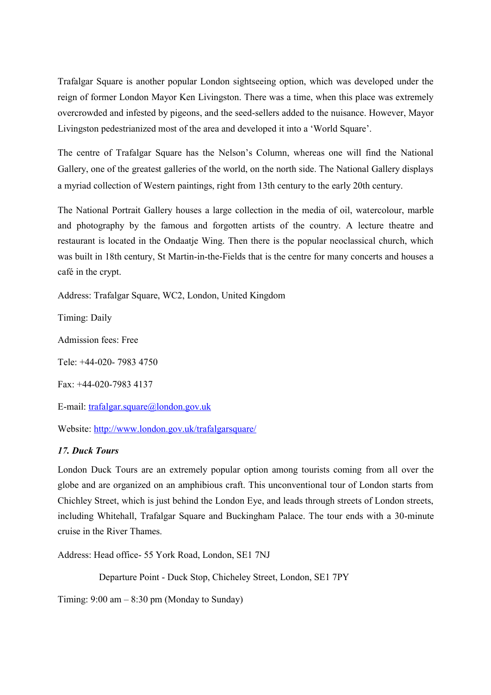Trafalgar Square is another popular London sightseeing option, which was developed under the reign of former London Mayor Ken Livingston. There was a time, when this place was extremely overcrowded and infested by pigeons, and the seed-sellers added to the nuisance. However, Mayor Livingston pedestrianized most of the area and developed it into a "World Square".

The centre of Trafalgar Square has the Nelson"s Column, whereas one will find the National Gallery, one of the greatest galleries of the world, on the north side. The National Gallery displays a myriad collection of Western paintings, right from 13th century to the early 20th century.

The National Portrait Gallery houses a large collection in the media of oil, watercolour, marble and photography by the famous and forgotten artists of the country. A lecture theatre and restaurant is located in the Ondaatje Wing. Then there is the popular neoclassical church, which was built in 18th century, St Martin-in-the-Fields that is the centre for many concerts and houses a café in the crypt.

Address: Trafalgar Square, WC2, London, United Kingdom

Timing: Daily

Admission fees: Free

Tele: +44-020- 7983 4750

Fax: +44-020-7983 4137

E-mail: [trafalgar.square@london.gov.uk](mailto:trafalgar.square@london.gov.uk)

Website:<http://www.london.gov.uk/trafalgarsquare/>

# *17. Duck Tours*

London Duck Tours are an extremely popular option among tourists coming from all over the globe and are organized on an amphibious craft. This unconventional tour of London starts from Chichley Street, which is just behind the London Eye, and leads through streets of London streets, including Whitehall, Trafalgar Square and Buckingham Palace. The tour ends with a 30-minute cruise in the River Thames.

Address: Head office- 55 York Road, London, SE1 7NJ

Departure Point - Duck Stop, Chicheley Street, London, SE1 7PY

Timing:  $9:00 \text{ am} - 8:30 \text{ pm}$  (Monday to Sunday)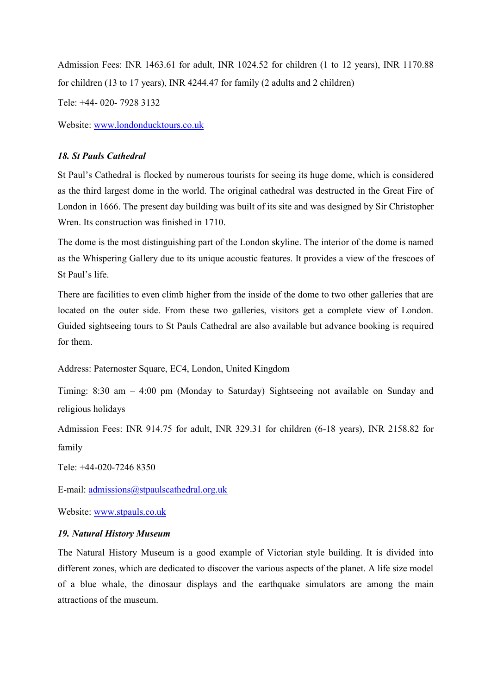Admission Fees: INR 1463.61 for adult, INR 1024.52 for children (1 to 12 years), INR 1170.88 for children (13 to 17 years), INR 4244.47 for family (2 adults and 2 children)

Tele: +44- 020- 7928 3132

Website: www.londonducktours.co.uk

# *18. St Pauls Cathedral*

St Paul"s Cathedral is flocked by numerous tourists for seeing its huge dome, which is considered as the third largest dome in the world. The original cathedral was destructed in the Great Fire of London in 1666. The present day building was built of its site and was designed by Sir Christopher Wren. Its construction was finished in 1710.

The dome is the most distinguishing part of the London skyline. The interior of the dome is named as the Whispering Gallery due to its unique acoustic features. It provides a view of the frescoes of St Paul"s life.

There are facilities to even climb higher from the inside of the dome to two other galleries that are located on the outer side. From these two galleries, visitors get a complete view of London. Guided sightseeing tours to St Pauls Cathedral are also available but advance booking is required for them.

Address: Paternoster Square, EC4, London, United Kingdom

Timing: 8:30 am – 4:00 pm (Monday to Saturday) Sightseeing not available on Sunday and religious holidays

Admission Fees: INR 914.75 for adult, INR 329.31 for children (6-18 years), INR 2158.82 for family

Tele: +44-020-7246 8350

E-mail: admissions@stpaulscathedral.org.uk

Website: [www.stpauls.co.uk](http://www.stpauls.co.uk/)

## *19. Natural History Museum*

The Natural History Museum is a good example of Victorian style building. It is divided into different zones, which are dedicated to discover the various aspects of the planet. A life size model of a blue whale, the dinosaur displays and the earthquake simulators are among the main attractions of the museum.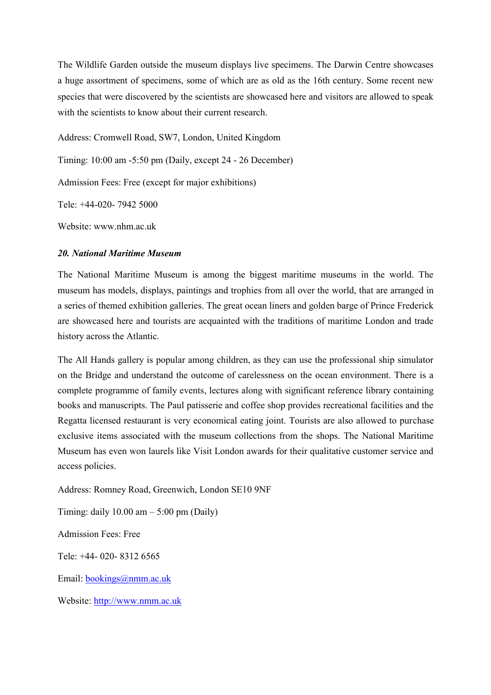The Wildlife Garden outside the museum displays live specimens. The Darwin Centre showcases a huge assortment of specimens, some of which are as old as the 16th century. Some recent new species that were discovered by the scientists are showcased here and visitors are allowed to speak with the scientists to know about their current research.

Address: Cromwell Road, SW7, London, United Kingdom

Timing: 10:00 am -5:50 pm (Daily, except 24 - 26 December)

Admission Fees: Free (except for major exhibitions)

Tele: +44-020- 7942 5000

Website: www.nhm.ac.uk

#### *20. National Maritime Museum*

The National Maritime Museum is among the biggest maritime museums in the world. The museum has models, displays, paintings and trophies from all over the world, that are arranged in a series of themed exhibition galleries. The great ocean liners and golden barge of Prince Frederick are showcased here and tourists are acquainted with the traditions of maritime London and trade history across the Atlantic.

The All Hands gallery is popular among children, as they can use the professional ship simulator on the Bridge and understand the outcome of carelessness on the ocean environment. There is a complete programme of family events, lectures along with significant reference library containing books and manuscripts. The Paul patisserie and coffee shop provides recreational facilities and the Regatta licensed restaurant is very economical eating joint. Tourists are also allowed to purchase exclusive items associated with the museum collections from the shops. The National Maritime Museum has even won laurels like Visit London awards for their qualitative customer service and access policies.

Address: Romney Road, Greenwich, London SE10 9NF

Timing: daily  $10.00$  am  $-5:00$  pm (Daily) Admission Fees: Free

Tele: +44- 020- 8312 6565

Email: bookings@nmm.ac.uk

Website: [http://www.nmm.ac.uk](http://www.nmm.ac.uk/)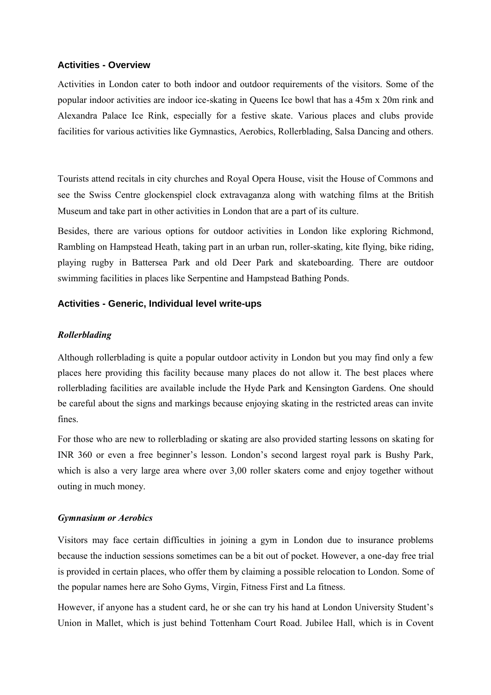#### **Activities - Overview**

Activities in London cater to both indoor and outdoor requirements of the visitors. Some of the popular indoor activities are indoor ice-skating in Queens Ice bowl that has a 45m x 20m rink and Alexandra Palace Ice Rink, especially for a festive skate. Various places and clubs provide facilities for various activities like Gymnastics, Aerobics, Rollerblading, Salsa Dancing and others.

Tourists attend recitals in city churches and Royal Opera House, visit the House of Commons and see the Swiss Centre glockenspiel clock extravaganza along with watching films at the British Museum and take part in other activities in London that are a part of its culture.

Besides, there are various options for outdoor activities in London like exploring Richmond, Rambling on Hampstead Heath, taking part in an urban run, roller-skating, kite flying, bike riding, playing rugby in Battersea Park and old Deer Park and skateboarding. There are outdoor swimming facilities in places like Serpentine and Hampstead Bathing Ponds.

#### **Activities - Generic, Individual level write-ups**

#### *Rollerblading*

Although rollerblading is quite a popular outdoor activity in London but you may find only a few places here providing this facility because many places do not allow it. The best places where rollerblading facilities are available include the Hyde Park and Kensington Gardens. One should be careful about the signs and markings because enjoying skating in the restricted areas can invite fines.

For those who are new to rollerblading or skating are also provided starting lessons on skating for INR 360 or even a free beginner"s lesson. London"s second largest royal park is Bushy Park, which is also a very large area where over 3,00 roller skaters come and enjoy together without outing in much money.

#### *Gymnasium or Aerobics*

Visitors may face certain difficulties in joining a gym in London due to insurance problems because the induction sessions sometimes can be a bit out of pocket. However, a one-day free trial is provided in certain places, who offer them by claiming a possible relocation to London. Some of the popular names here are Soho Gyms, Virgin, Fitness First and La fitness.

However, if anyone has a student card, he or she can try his hand at London University Student"s Union in Mallet, which is just behind Tottenham Court Road. Jubilee Hall, which is in Covent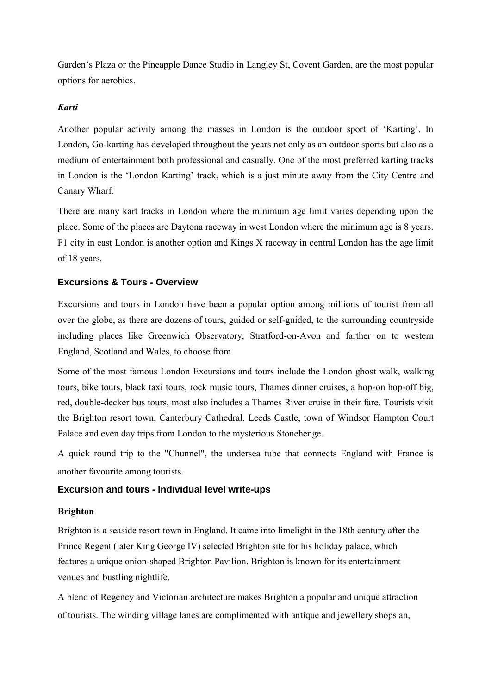Garden"s Plaza or the Pineapple Dance Studio in Langley St, Covent Garden, are the most popular options for aerobics.

# *Karti*

Another popular activity among the masses in London is the outdoor sport of "Karting". In London, Go-karting has developed throughout the years not only as an outdoor sports but also as a medium of entertainment both professional and casually. One of the most preferred karting tracks in London is the 'London Karting' track, which is a just minute away from the City Centre and Canary Wharf.

There are many kart tracks in London where the minimum age limit varies depending upon the place. Some of the places are Daytona raceway in west London where the minimum age is 8 years. F1 city in east London is another option and Kings X raceway in central London has the age limit of 18 years.

# **Excursions & Tours - Overview**

Excursions and tours in London have been a popular option among millions of tourist from all over the globe, as there are dozens of tours, guided or self-guided, to the surrounding countryside including places like Greenwich Observatory, Stratford-on-Avon and farther on to western England, Scotland and Wales, to choose from.

Some of the most famous London Excursions and tours include the London ghost walk, walking tours, bike tours, black taxi tours, rock music tours, Thames dinner cruises, a hop-on hop-off big, red, double-decker bus tours, most also includes a Thames River cruise in their fare. Tourists visit the Brighton resort town, Canterbury Cathedral, Leeds Castle, town of Windsor Hampton Court Palace and even day trips from London to the mysterious Stonehenge.

A quick round trip to the "Chunnel", the undersea tube that connects England with France is another favourite among tourists.

# **Excursion and tours - Individual level write-ups**

# **Brighton**

Brighton is a seaside resort town in England. It came into limelight in the 18th century after the Prince Regent (later King George IV) selected Brighton site for his holiday palace, which features a unique onion-shaped Brighton Pavilion. Brighton is known for its entertainment venues and bustling nightlife.

A blend of Regency and Victorian architecture makes Brighton a popular and unique attraction of tourists. The winding village lanes are complimented with antique and jewellery shops an,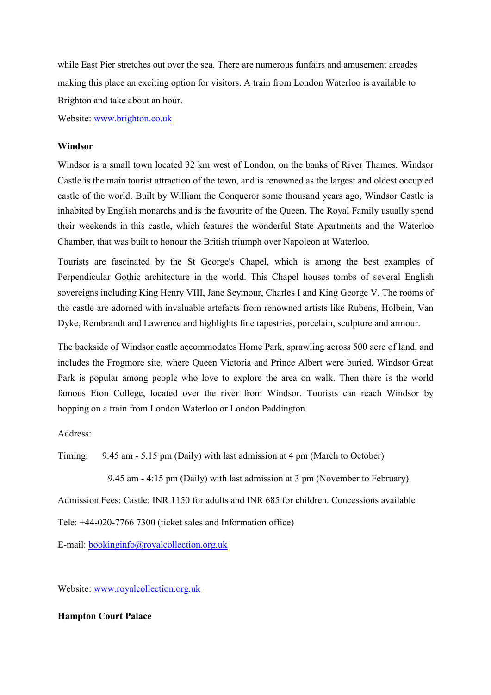while East Pier stretches out over the sea. There are numerous funfairs and amusement arcades making this place an exciting option for visitors. A train from London Waterloo is available to Brighton and take about an hour.

Website: www.brighton.co.uk

#### **Windsor**

Windsor is a small town located 32 km west of London, on the banks of River Thames. Windsor Castle is the main tourist attraction of the town, and is renowned as the largest and oldest occupied castle of the world. Built by William the Conqueror some thousand years ago, Windsor Castle is inhabited by English monarchs and is the favourite of the Queen. The Royal Family usually spend their weekends in this castle, which features the wonderful State Apartments and the Waterloo Chamber, that was built to honour the British triumph over Napoleon at Waterloo.

Tourists are fascinated by the St George's Chapel, which is among the best examples of Perpendicular Gothic architecture in the world. This Chapel houses tombs of several English sovereigns including King Henry VIII, Jane Seymour, Charles I and King George V. The rooms of the castle are adorned with invaluable artefacts from renowned artists like Rubens, Holbein, Van Dyke, Rembrandt and Lawrence and highlights fine tapestries, porcelain, sculpture and armour.

The backside of Windsor castle accommodates Home Park, sprawling across 500 acre of land, and includes the Frogmore site, where Queen Victoria and Prince Albert were buried. Windsor Great Park is popular among people who love to explore the area on walk. Then there is the world famous Eton College, located over the river from Windsor. Tourists can reach Windsor by hopping on a train from London Waterloo or London Paddington.

Address:

Timing: 9.45 am - 5.15 pm (Daily) with last admission at 4 pm (March to October)

9.45 am - 4:15 pm (Daily) with last admission at 3 pm (November to February)

Admission Fees: Castle: INR 1150 for adults and INR 685 for children. Concessions available

Tele: +44-020-7766 7300 (ticket sales and Information office)

E-mail: bookinginfo@royalcollection.org.uk

Website: www.royalcollection.org.uk

#### **Hampton Court Palace**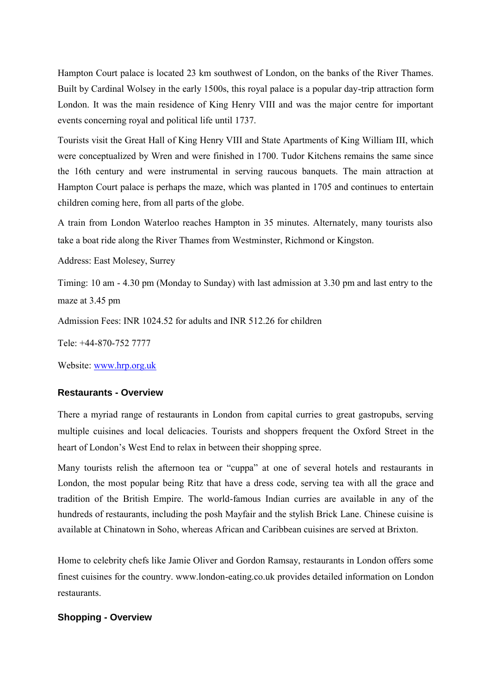Hampton Court palace is located 23 km southwest of London, on the banks of the River Thames. Built by Cardinal Wolsey in the early 1500s, this royal palace is a popular day-trip attraction form London. It was the main residence of King Henry VIII and was the major centre for important events concerning royal and political life until 1737.

Tourists visit the Great Hall of King Henry VIII and State Apartments of King William III, which were conceptualized by Wren and were finished in 1700. Tudor Kitchens remains the same since the 16th century and were instrumental in serving raucous banquets. The main attraction at Hampton Court palace is perhaps the maze, which was planted in 1705 and continues to entertain children coming here, from all parts of the globe.

A train from London Waterloo reaches Hampton in 35 minutes. Alternately, many tourists also take a boat ride along the River Thames from Westminster, Richmond or Kingston.

Address: East Molesey, Surrey

Timing: 10 am - 4.30 pm (Monday to Sunday) with last admission at 3.30 pm and last entry to the maze at 3.45 pm

Admission Fees: INR 1024.52 for adults and INR 512.26 for children

Tele: +44-870-752 7777

Website: www.hrp.org.uk

## **Restaurants - Overview**

There a myriad range of restaurants in London from capital curries to great gastropubs, serving multiple cuisines and local delicacies. Tourists and shoppers frequent the Oxford Street in the heart of London"s West End to relax in between their shopping spree.

Many tourists relish the afternoon tea or "cuppa" at one of several hotels and restaurants in London, the most popular being Ritz that have a dress code, serving tea with all the grace and tradition of the British Empire. The world-famous Indian curries are available in any of the hundreds of restaurants, including the posh Mayfair and the stylish Brick Lane. Chinese cuisine is available at Chinatown in Soho, whereas African and Caribbean cuisines are served at Brixton.

Home to celebrity chefs like Jamie Oliver and Gordon Ramsay, restaurants in London offers some finest cuisines for the country. www.london-eating.co.uk provides detailed information on London restaurants.

## **Shopping - Overview**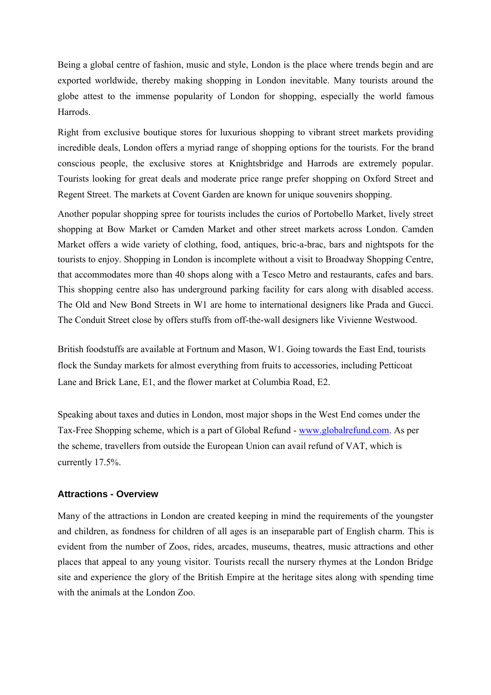Being a global centre of fashion, music and style, London is the place where trends begin and are exported worldwide, thereby making shopping in London inevitable. Many tourists around the globe attest to the immense popularity of London for shopping, especially the world famous Harrods.

Right from exclusive boutique stores for luxurious shopping to vibrant street markets providing incredible deals, London offers a myriad range of shopping options for the tourists. For the brand conscious people, the exclusive stores at Knightsbridge and Harrods are extremely popular. Tourists looking for great deals and moderate price range prefer shopping on Oxford Street and Regent Street. The markets at Covent Garden are known for unique souvenirs shopping.

Another popular shopping spree for tourists includes the curios of Portobello Market, lively street shopping at Bow Market or Camden Market and other street markets across London. Camden Market offers a wide variety of clothing, food, antiques, bric-a-brac, bars and nightspots for the tourists to enjoy. Shopping in London is incomplete without a visit to Broadway Shopping Centre, that accommodates more than 40 shops along with a Tesco Metro and restaurants, cafes and bars. This shopping centre also has underground parking facility for cars along with disabled access. The Old and New Bond Streets in W1 are home to international designers like Prada and Gucci. The Conduit Street close by offers stuffs from off-the-wall designers like Vivienne Westwood.

British foodstuffs are available at Fortnum and Mason, W1. Going towards the East End, tourists flock the Sunday markets for almost everything from fruits to accessories, including Petticoat Lane and Brick Lane, E1, and the flower market at Columbia Road, E2.

Speaking about taxes and duties in London, most major shops in the West End comes under the Tax-Free Shopping scheme, which is a part of Global Refund - www.globalrefund.com. As per the scheme, travellers from outside the European Union can avail refund of VAT, which is currently 17.5%.

## **Attractions - Overview**

Many of the attractions in London are created keeping in mind the requirements of the youngster and children, as fondness for children of all ages is an inseparable part of English charm. This is evident from the number of Zoos, rides, arcades, museums, theatres, music attractions and other places that appeal to any young visitor. Tourists recall the nursery rhymes at the London Bridge site and experience the glory of the British Empire at the heritage sites along with spending time with the animals at the London Zoo.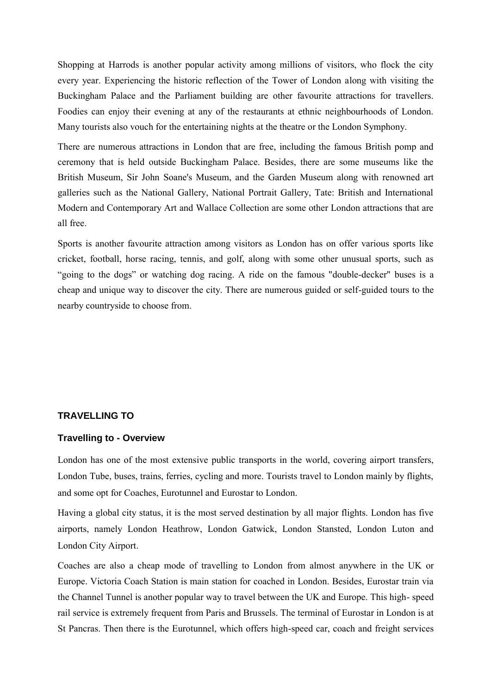Shopping at Harrods is another popular activity among millions of visitors, who flock the city every year. Experiencing the historic reflection of the Tower of London along with visiting the Buckingham Palace and the Parliament building are other favourite attractions for travellers. Foodies can enjoy their evening at any of the restaurants at ethnic neighbourhoods of London. Many tourists also vouch for the entertaining nights at the theatre or the London Symphony.

There are numerous attractions in London that are free, including the famous British pomp and ceremony that is held outside Buckingham Palace. Besides, there are some museums like the British Museum, Sir John Soane's Museum, and the Garden Museum along with renowned art galleries such as the National Gallery, National Portrait Gallery, Tate: British and International Modern and Contemporary Art and Wallace Collection are some other London attractions that are all free.

Sports is another favourite attraction among visitors as London has on offer various sports like cricket, football, horse racing, tennis, and golf, along with some other unusual sports, such as "going to the dogs" or watching dog racing. A ride on the famous "double-decker" buses is a cheap and unique way to discover the city. There are numerous guided or self-guided tours to the nearby countryside to choose from.

#### **TRAVELLING TO**

#### **Travelling to - Overview**

London has one of the most extensive public transports in the world, covering airport transfers, London Tube, buses, trains, ferries, cycling and more. Tourists travel to London mainly by flights, and some opt for Coaches, Eurotunnel and Eurostar to London.

Having a global city status, it is the most served destination by all major flights. London has five airports, namely London Heathrow, London Gatwick, London Stansted, London Luton and London City Airport.

Coaches are also a cheap mode of travelling to London from almost anywhere in the UK or Europe. Victoria Coach Station is main station for coached in London. Besides, Eurostar train via the Channel Tunnel is another popular way to travel between the UK and Europe. This high- speed rail service is extremely frequent from Paris and Brussels. The terminal of Eurostar in London is at St Pancras. Then there is the Eurotunnel, which offers high-speed car, coach and freight services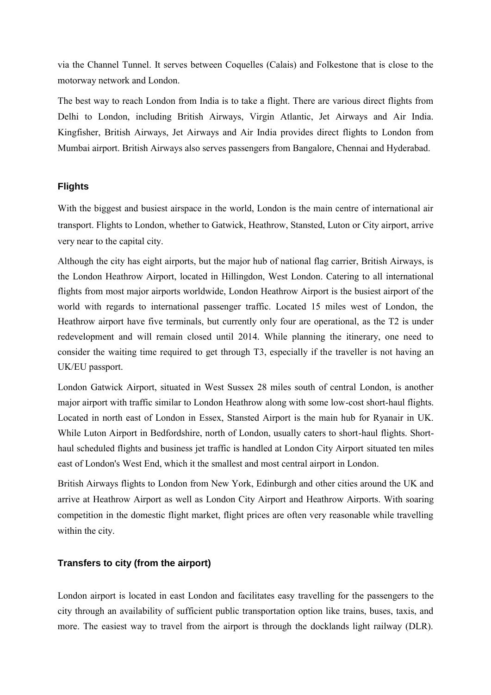via the Channel Tunnel. It serves between Coquelles (Calais) and Folkestone that is close to the motorway network and London.

The best way to reach London from India is to take a flight. There are various direct flights from Delhi to London, including British Airways, Virgin Atlantic, Jet Airways and Air India. Kingfisher, British Airways, Jet Airways and Air India provides direct flights to London from Mumbai airport. British Airways also serves passengers from Bangalore, Chennai and Hyderabad.

# **Flights**

With the biggest and busiest airspace in the world, London is the main centre of international air transport. Flights to London, whether to Gatwick, Heathrow, Stansted, Luton or City airport, arrive very near to the capital city.

Although the city has eight airports, but the major hub of national flag carrier, British Airways, is the London Heathrow Airport, located in Hillingdon, West London. Catering to all international flights from most major airports worldwide, London Heathrow Airport is the busiest airport of the world with regards to international passenger traffic. Located 15 miles west of London, the Heathrow airport have five terminals, but currently only four are operational, as the T2 is under redevelopment and will remain closed until 2014. While planning the itinerary, one need to consider the waiting time required to get through T3, especially if the traveller is not having an UK/EU passport.

London Gatwick Airport, situated in West Sussex 28 miles south of central London, is another major airport with traffic similar to London Heathrow along with some low-cost short-haul flights. Located in north east of London in Essex, Stansted Airport is the main hub for Ryanair in UK. While Luton Airport in Bedfordshire, north of London, usually caters to short-haul flights. Shorthaul scheduled flights and business jet traffic is handled at London City Airport situated ten miles east of London's West End, which it the smallest and most central airport in London.

British Airways flights to London from New York, Edinburgh and other cities around the UK and arrive at Heathrow Airport as well as London City Airport and Heathrow Airports. With soaring competition in the domestic flight market, flight prices are often very reasonable while travelling within the city.

# **Transfers to city (from the airport)**

London airport is located in east London and facilitates easy travelling for the passengers to the city through an availability of sufficient public transportation option like trains, buses, taxis, and more. The easiest way to travel from the airport is through the docklands light railway (DLR).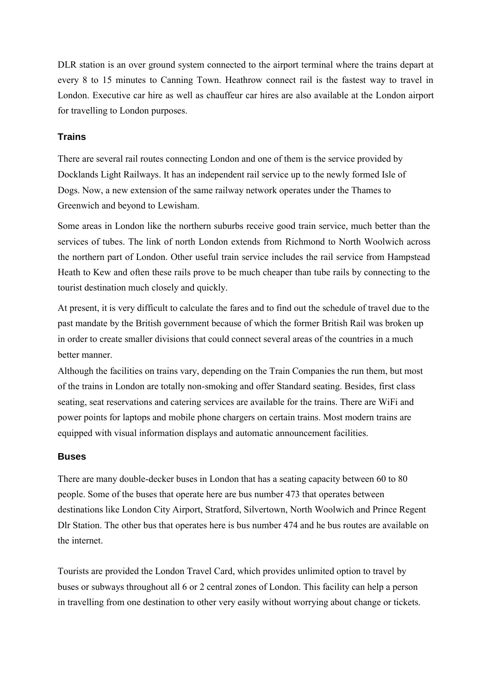DLR station is an over ground system connected to the airport terminal where the trains depart at every 8 to 15 minutes to Canning Town. Heathrow connect rail is the fastest way to travel in London. Executive car hire as well as chauffeur car hires are also available at the London airport for travelling to London purposes.

# **Trains**

There are several rail routes connecting London and one of them is the service provided by Docklands Light Railways. It has an independent rail service up to the newly formed Isle of Dogs. Now, a new extension of the same railway network operates under the Thames to Greenwich and beyond to Lewisham.

Some areas in London like the northern suburbs receive good train service, much better than the services of tubes. The link of north London extends from Richmond to North Woolwich across the northern part of London. Other useful train service includes the rail service from Hampstead Heath to Kew and often these rails prove to be much cheaper than tube rails by connecting to the tourist destination much closely and quickly.

At present, it is very difficult to calculate the fares and to find out the schedule of travel due to the past mandate by the British government because of which the former British Rail was broken up in order to create smaller divisions that could connect several areas of the countries in a much better manner.

Although the facilities on trains vary, depending on the Train Companies the run them, but most of the trains in London are totally non-smoking and offer Standard seating. Besides, first class seating, seat reservations and catering services are available for the trains. There are WiFi and power points for laptops and mobile phone chargers on certain trains. Most modern trains are equipped with visual information displays and automatic announcement facilities.

## **Buses**

There are many double-decker buses in London that has a seating capacity between 60 to 80 people. Some of the buses that operate here are bus number 473 that operates between destinations like London City Airport, Stratford, Silvertown, North Woolwich and Prince Regent Dlr Station. The other bus that operates here is bus number 474 and he bus routes are available on the internet.

Tourists are provided the London Travel Card, which provides unlimited option to travel by buses or subways throughout all 6 or 2 central zones of London. This facility can help a person in travelling from one destination to other very easily without worrying about change or tickets.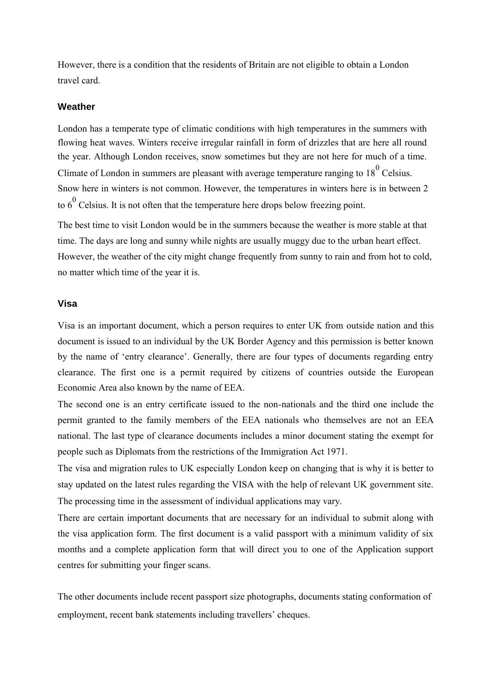However, there is a condition that the residents of Britain are not eligible to obtain a London travel card.

### **Weather**

London has a temperate type of climatic conditions with high temperatures in the summers with flowing heat waves. Winters receive irregular rainfall in form of drizzles that are here all round the year. Although London receives, snow sometimes but they are not here for much of a time. Climate of London in summers are pleasant with average temperature ranging to  $18^{\circ}$  Celsius. Snow here in winters is not common. However, the temperatures in winters here is in between 2 to  $6^0$  Celsius. It is not often that the temperature here drops below freezing point.

The best time to visit London would be in the summers because the weather is more stable at that time. The days are long and sunny while nights are usually muggy due to the urban heart effect. However, the weather of the city might change frequently from sunny to rain and from hot to cold, no matter which time of the year it is.

#### **Visa**

Visa is an important document, which a person requires to enter UK from outside nation and this document is issued to an individual by the UK Border Agency and this permission is better known by the name of "entry clearance". Generally, there are four types of documents regarding entry clearance. The first one is a permit required by citizens of countries outside the European Economic Area also known by the name of EEA.

The second one is an entry certificate issued to the non-nationals and the third one include the permit granted to the family members of the EEA nationals who themselves are not an EEA national. The last type of clearance documents includes a minor document stating the exempt for people such as Diplomats from the restrictions of the Immigration Act 1971.

The visa and migration rules to UK especially London keep on changing that is why it is better to stay updated on the latest rules regarding the VISA with the help of relevant UK government site. The processing time in the assessment of individual applications may vary.

There are certain important documents that are necessary for an individual to submit along with the visa application form. The first document is a valid passport with a minimum validity of six months and a complete application form that will direct you to one of the Application support centres for submitting your finger scans.

The other documents include recent passport size photographs, documents stating conformation of employment, recent bank statements including travellers' cheques.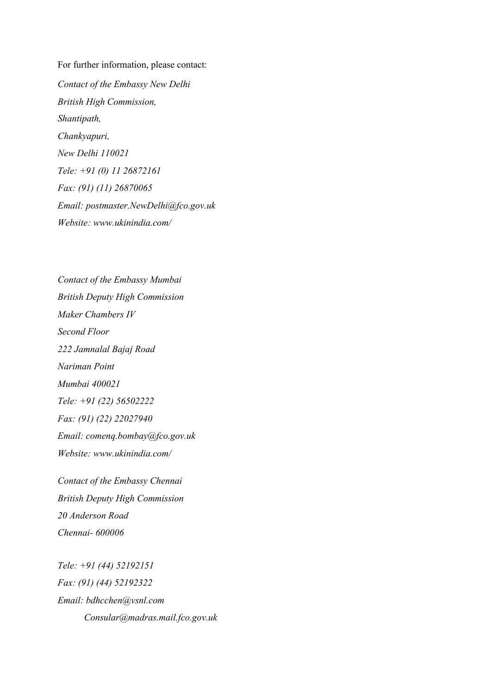For further information, please contact: *Contact of the Embassy New Delhi British High Commission, Shantipath, Chankyapuri, New Delhi 110021 Tele: +91 (0) 11 26872161 Fax: (91) (11) 26870065 Email: postmaster.NewDelhi@fco.gov.uk Website: www.ukinindia.com/*

*Contact of the Embassy Mumbai British Deputy High Commission Maker Chambers IV Second Floor 222 Jamnalal Bajaj Road Nariman Point Mumbai 400021 Tele: +91 (22) 56502222 Fax: (91) (22) 22027940 Email: comenq.bombay@fco.gov.uk Website: www.ukinindia.com/*

*Contact of the Embassy Chennai British Deputy High Commission 20 Anderson Road Chennai- 600006*

*Tele: +91 (44) 52192151 Fax: (91) (44) 52192322 Email: bdhcchen@vsnl.com Consular@madras.mail.fco.gov.uk*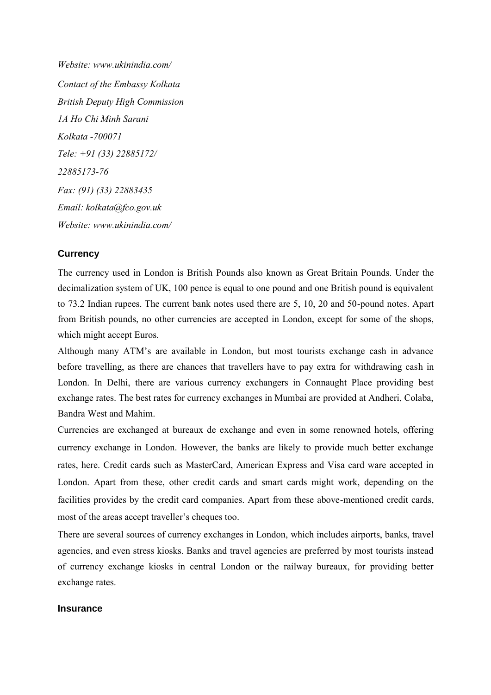*Website: www.ukinindia.com/ Contact of the Embassy Kolkata British Deputy High Commission 1A Ho Chi Minh Sarani Kolkata -700071 Tele: +91 (33) 22885172/ 22885173-76 Fax: (91) (33) 22883435 Email: kolkata@fco.gov.uk Website: www.ukinindia.com/*

## **Currency**

The currency used in London is British Pounds also known as Great Britain Pounds. Under the decimalization system of UK, 100 pence is equal to one pound and one British pound is equivalent to 73.2 Indian rupees. The current bank notes used there are 5, 10, 20 and 50-pound notes. Apart from British pounds, no other currencies are accepted in London, except for some of the shops, which might accept Euros.

Although many ATM"s are available in London, but most tourists exchange cash in advance before travelling, as there are chances that travellers have to pay extra for withdrawing cash in London. In Delhi, there are various currency exchangers in Connaught Place providing best exchange rates. The best rates for currency exchanges in Mumbai are provided at Andheri, Colaba, Bandra West and Mahim.

Currencies are exchanged at bureaux de exchange and even in some renowned hotels, offering currency exchange in London. However, the banks are likely to provide much better exchange rates, here. Credit cards such as MasterCard, American Express and Visa card ware accepted in London. Apart from these, other credit cards and smart cards might work, depending on the facilities provides by the credit card companies. Apart from these above-mentioned credit cards, most of the areas accept traveller"s cheques too.

There are several sources of currency exchanges in London, which includes airports, banks, travel agencies, and even stress kiosks. Banks and travel agencies are preferred by most tourists instead of currency exchange kiosks in central London or the railway bureaux, for providing better exchange rates.

#### **Insurance**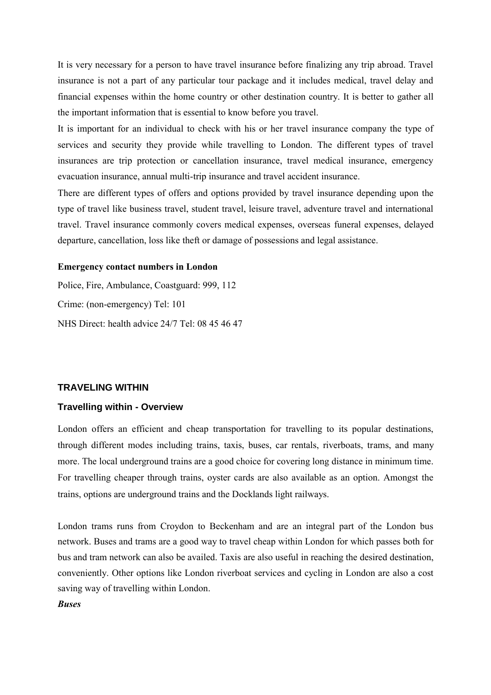It is very necessary for a person to have travel insurance before finalizing any trip abroad. Travel insurance is not a part of any particular tour package and it includes medical, travel delay and financial expenses within the home country or other destination country. It is better to gather all the important information that is essential to know before you travel.

It is important for an individual to check with his or her travel insurance company the type of services and security they provide while travelling to London. The different types of travel insurances are trip protection or cancellation insurance, travel medical insurance, emergency evacuation insurance, annual multi-trip insurance and travel accident insurance.

There are different types of offers and options provided by travel insurance depending upon the type of travel like business travel, student travel, leisure travel, adventure travel and international travel. Travel insurance commonly covers medical expenses, overseas funeral expenses, delayed departure, cancellation, loss like theft or damage of possessions and legal assistance.

#### **Emergency contact numbers in London**

Police, Fire, Ambulance, Coastguard: 999, 112 Crime: (non-emergency) Tel: 101 NHS Direct: health advice 24/7 Tel: 08 45 46 47

#### **TRAVELING WITHIN**

#### **Travelling within - Overview**

London offers an efficient and cheap transportation for travelling to its popular destinations, through different modes including trains, taxis, buses, car rentals, riverboats, trams, and many more. The local underground trains are a good choice for covering long distance in minimum time. For travelling cheaper through trains, oyster cards are also available as an option. Amongst the trains, options are underground trains and the Docklands light railways.

London trams runs from Croydon to Beckenham and are an integral part of the London bus network. Buses and trams are a good way to travel cheap within London for which passes both for bus and tram network can also be availed. Taxis are also useful in reaching the desired destination, conveniently. Other options like London riverboat services and cycling in London are also a cost saving way of travelling within London.

#### *Buses*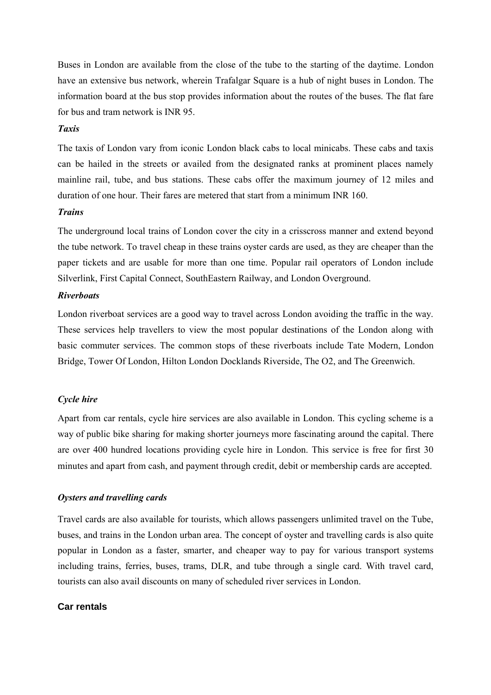Buses in London are available from the close of the tube to the starting of the daytime. London have an extensive bus network, wherein Trafalgar Square is a hub of night buses in London. The information board at the bus stop provides information about the routes of the buses. The flat fare for bus and tram network is INR 95.

#### *Taxis*

The taxis of London vary from iconic London black cabs to local minicabs. These cabs and taxis can be hailed in the streets or availed from the designated ranks at prominent places namely mainline rail, tube, and bus stations. These cabs offer the maximum journey of 12 miles and duration of one hour. Their fares are metered that start from a minimum INR 160.

### *Trains*

The underground local trains of London cover the city in a crisscross manner and extend beyond the tube network. To travel cheap in these trains oyster cards are used, as they are cheaper than the paper tickets and are usable for more than one time. Popular rail operators of London include Silverlink, First Capital Connect, SouthEastern Railway, and London Overground.

#### *Riverboats*

London riverboat services are a good way to travel across London avoiding the traffic in the way. These services help travellers to view the most popular destinations of the London along with basic commuter services. The common stops of these riverboats include Tate Modern, London Bridge, Tower Of London, Hilton London Docklands Riverside, The O2, and The Greenwich.

## *Cycle hire*

Apart from car rentals, cycle hire services are also available in London. This cycling scheme is a way of public bike sharing for making shorter journeys more fascinating around the capital. There are over 400 hundred locations providing cycle hire in London. This service is free for first 30 minutes and apart from cash, and payment through credit, debit or membership cards are accepted.

#### *Oysters and travelling cards*

Travel cards are also available for tourists, which allows passengers unlimited travel on the Tube, buses, and trains in the London urban area. The concept of oyster and travelling cards is also quite popular in London as a faster, smarter, and cheaper way to pay for various transport systems including trains, ferries, buses, trams, DLR, and tube through a single card. With travel card, tourists can also avail discounts on many of scheduled river services in London.

## **Car rentals**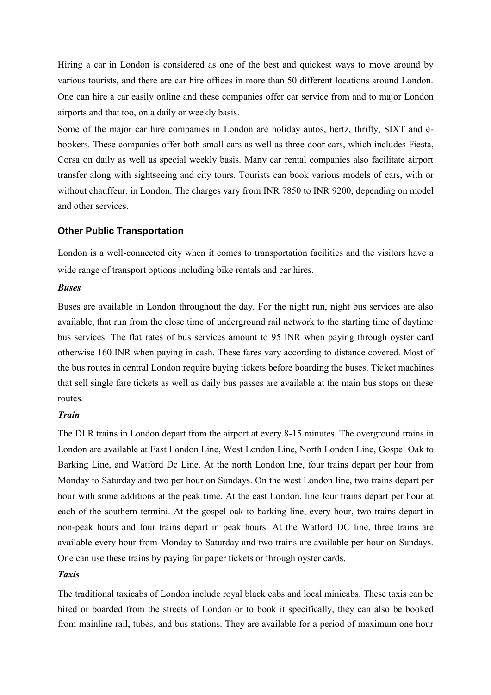Hiring a car in London is considered as one of the best and quickest ways to move around by various tourists, and there are car hire offices in more than 50 different locations around London. One can hire a car easily online and these companies offer car service from and to major London airports and that too, on a daily or weekly basis.

Some of the major car hire companies in London are holiday autos, hertz, thrifty, SIXT and ebookers. These companies offer both small cars as well as three door cars, which includes Fiesta, Corsa on daily as well as special weekly basis. Many car rental companies also facilitate airport transfer along with sightseeing and city tours. Tourists can book various models of cars, with or without chauffeur, in London. The charges vary from INR 7850 to INR 9200, depending on model and other services.

# **Other Public Transportation**

London is a well-connected city when it comes to transportation facilities and the visitors have a wide range of transport options including bike rentals and car hires.

## *Buses*

Buses are available in London throughout the day. For the night run, night bus services are also available, that run from the close time of underground rail network to the starting time of daytime bus services. The flat rates of bus services amount to 95 INR when paying through oyster card otherwise 160 INR when paying in cash. These fares vary according to distance covered. Most of the bus routes in central London require buying tickets before boarding the buses. Ticket machines that sell single fare tickets as well as daily bus passes are available at the main bus stops on these routes.

## *Train*

The DLR trains in London depart from the airport at every 8-15 minutes. The overground trains in London are available at East London Line, West London Line, North London Line, Gospel Oak to Barking Line, and Watford Dc Line. At the north London line, four trains depart per hour from Monday to Saturday and two per hour on Sundays. On the west London line, two trains depart per hour with some additions at the peak time. At the east London, line four trains depart per hour at each of the southern termini. At the gospel oak to barking line, every hour, two trains depart in non-peak hours and four trains depart in peak hours. At the Watford DC line, three trains are available every hour from Monday to Saturday and two trains are available per hour on Sundays. One can use these trains by paying for paper tickets or through oyster cards.

## *Taxis*

The traditional taxicabs of London include royal black cabs and local minicabs. These taxis can be hired or boarded from the streets of London or to book it specifically, they can also be booked from mainline rail, tubes, and bus stations. They are available for a period of maximum one hour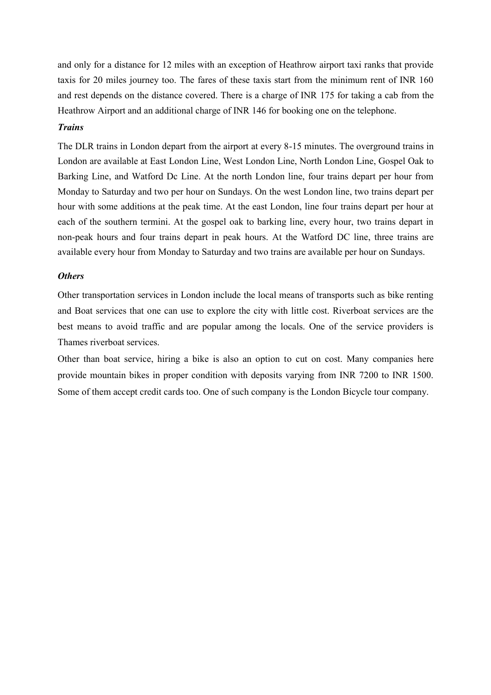and only for a distance for 12 miles with an exception of Heathrow airport taxi ranks that provide taxis for 20 miles journey too. The fares of these taxis start from the minimum rent of INR 160 and rest depends on the distance covered. There is a charge of INR 175 for taking a cab from the Heathrow Airport and an additional charge of INR 146 for booking one on the telephone.

### *Trains*

The DLR trains in London depart from the airport at every 8-15 minutes. The overground trains in London are available at East London Line, West London Line, North London Line, Gospel Oak to Barking Line, and Watford Dc Line. At the north London line, four trains depart per hour from Monday to Saturday and two per hour on Sundays. On the west London line, two trains depart per hour with some additions at the peak time. At the east London, line four trains depart per hour at each of the southern termini. At the gospel oak to barking line, every hour, two trains depart in non-peak hours and four trains depart in peak hours. At the Watford DC line, three trains are available every hour from Monday to Saturday and two trains are available per hour on Sundays.

#### *Others*

Other transportation services in London include the local means of transports such as bike renting and Boat services that one can use to explore the city with little cost. Riverboat services are the best means to avoid traffic and are popular among the locals. One of the service providers is Thames riverboat services.

Other than boat service, hiring a bike is also an option to cut on cost. Many companies here provide mountain bikes in proper condition with deposits varying from INR 7200 to INR 1500. Some of them accept credit cards too. One of such company is the London Bicycle tour company.